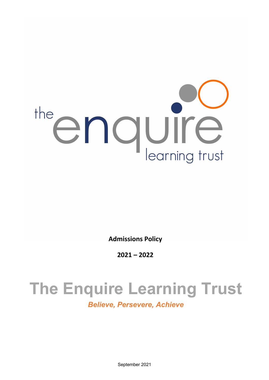

**Admissions Policy**

**2021 – 2022**

# **The Enquire Learning Trust**

*Believe, Persevere, Achieve*

September 2021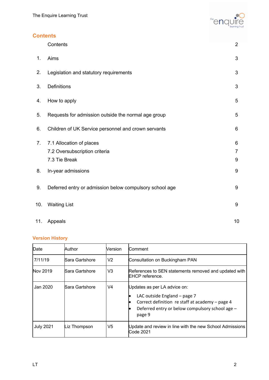

# **Contents**

|     | Contents                                                                   | $\overline{2}$ |
|-----|----------------------------------------------------------------------------|----------------|
| 1.  | Aims                                                                       | 3              |
| 2.  | Legislation and statutory requirements                                     | 3              |
| 3.  | Definitions                                                                | 3              |
| 4.  | How to apply                                                               | 5              |
| 5.  | Requests for admission outside the normal age group                        | 5              |
| 6.  | Children of UK Service personnel and crown servants                        | 6              |
| 7.  | 7.1 Allocation of places<br>7.2 Oversubscription criteria<br>7.3 Tie Break | 6<br>7<br>9    |
| 8.  | In-year admissions                                                         | 9              |
| 9.  | Deferred entry or admission below compulsory school age                    | 9              |
| 10. | <b>Waiting List</b>                                                        | 9              |
| 11. | Appeals                                                                    | 10             |

# **Version History**

| Date             | Author         | Version        | Comment                                                                                                                                                                                                |
|------------------|----------------|----------------|--------------------------------------------------------------------------------------------------------------------------------------------------------------------------------------------------------|
| 7/11/19          | Sara Gartshore | V2             | Consultation on Buckingham PAN                                                                                                                                                                         |
| Nov 2019         | Sara Gartshore | V <sub>3</sub> | References to SEN statements removed and updated with<br><b>IEHCP</b> reference.                                                                                                                       |
| Jan 2020.        | Sara Gartshore | V4             | Updates as per LA advice on:<br>LAC outside England – page 7<br>$\bullet$<br>Correct definition re staff at academy - page 4<br>$\bullet$<br>Deferred entry or below compulsory school age -<br>page 9 |
| <b>July 2021</b> | Liz Thompson   | V5             | Update and review in line with the new School Admissions<br><b>Code 2021</b>                                                                                                                           |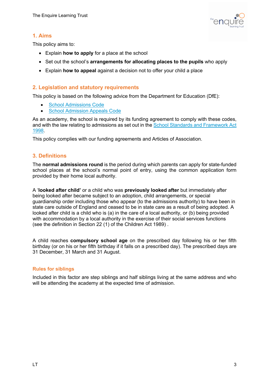

# **1. Aims**

This policy aims to:

- Explain **how to apply** for a place at the school
- Set out the school's **arrangements for allocating places to the pupils** who apply
- Explain **how to appeal** against a decision not to offer your child a place

#### **2. Legislation and statutory requirements**

This policy is based on the following advice from the Department for Education (DfE):

- School Admissions Code
- School Admission Appeals Code

As an academy, the school is required by its funding agreement to comply with these codes, and with the law relating to admissions as set out in the School Standards and Framework Act 1998.

This policy complies with our funding agreements and Articles of Association.

#### **3. Definitions**

The **normal admissions round** is the period during which parents can apply for state-funded school places at the school's normal point of entry, using the common application form provided by their home local authority.

A '**looked after child'** or a child who was **previously looked after** but immediately after being looked after became subject to an adoption, child arrangements, or special guardianship order including those who appear (to the admissions authority) to have been in state care outside of England and ceased to be in state care as a result of being adopted. A looked after child is a child who is (a) in the care of a local authority, or (b) being provided with accommodation by a local authority in the exercise of their social services functions (see the definition in Section 22 (1) of the Children Act 1989) .

A child reaches **compulsory school age** on the prescribed day following his or her fifth birthday (or on his or her fifth birthday if it falls on a prescribed day). The prescribed days are 31 December, 31 March and 31 August.

#### **Rules for siblings**

Included in this factor are step siblings and half siblings living at the same address and who will be attending the academy at the expected time of admission.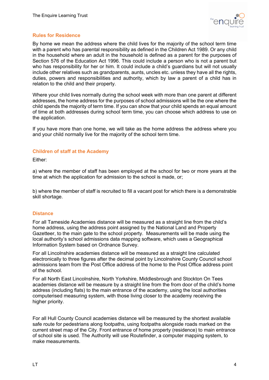

#### **Rules for Residence**

By home we mean the address where the child lives for the majority of the school term time with a parent who has parental responsibility as defined in the Children Act 1989. Or any child in the household where an adult in the household is defined as a parent for the purposes of Section 576 of the Education Act 1996. This could include a person who is not a parent but who has responsibility for her or him. It could include a child's guardians but will not usually include other relatives such as grandparents, aunts, uncles etc. unless they have all the rights, duties, powers and responsibilities and authority, which by law a parent of a child has in relation to the child and their property.

Where your child lives normally during the school week with more than one parent at different addresses, the home address for the purposes of school admissions will be the one where the child spends the majority of term time. If you can show that your child spends an equal amount of time at both addresses during school term time, you can choose which address to use on the application.

If you have more than one home, we will take as the home address the address where you and your child normally live for the majority of the school term time.

#### **Children of staff at the Academy**

Either:

a) where the member of staff has been employed at the school for two or more years at the time at which the application for admission to the school is made, or;

b) where the member of staff is recruited to fill a vacant post for which there is a demonstrable skill shortage.

#### **Distance**

For all Tameside Academies distance will be measured as a straight line from the child's home address, using the address point assigned by the National Land and Property Gazetteer, to the main gate to the school property. Measurements will be made using the local authority's school admissions data mapping software, which uses a Geographical Information System based on Ordnance Survey.

For all Lincolnshire academies distance will be measured as a straight line calculated electronically to three figures after the decimal point by Lincolnshire County Council school admissions team from the Post Office address of the home to the Post Office address point of the school.

For all North East Lincolnshire, North Yorkshire, Middlesbrough and Stockton On Tees academies distance will be measure by a straight line from the from door of the child's home address (including flats) to the main entrance of the academy, using the local authorities computerised measuring system, with those living closer to the academy receiving the higher priority.

For all Hull County Council academies distance will be measured by the shortest available safe route for pedestrians along footpaths, using footpaths alongside roads marked on the current street map of the City. Front entrance of home property (residence) to main entrance of school site is used. The Authority will use Routefinder, a computer mapping system, to make measurements.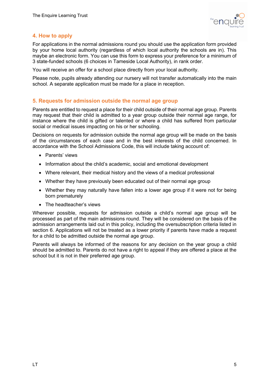

## **4. How to apply**

For applications in the normal admissions round you should use the application form provided by your home local authority (regardless of which local authority the schools are in). This maybe an electronic form. You can use this form to express your preference for a minimum of 3 state-funded schools (6 choices in Tameside Local Authority), in rank order.

You will receive an offer for a school place directly from your local authority.

Please note, pupils already attending our nursery will not transfer automatically into the main school. A separate application must be made for a place in reception.

#### **5. Requests for admission outside the normal age group**

Parents are entitled to request a place for their child outside of their normal age group. Parents may request that their child is admitted to a year group outside their normal age range, for instance where the child is gifted or talented or where a child has suffered from particular social or medical issues impacting on his or her schooling.

Decisions on requests for admission outside the normal age group will be made on the basis of the circumstances of each case and in the best interests of the child concerned. In accordance with the School Admissions Code, this will include taking account of:

- Parents' views
- Information about the child's academic, social and emotional development
- Where relevant, their medical history and the views of a medical professional
- Whether they have previously been educated out of their normal age group
- Whether they may naturally have fallen into a lower age group if it were not for being born prematurely
- The headteacher's views

Wherever possible, requests for admission outside a child's normal age group will be processed as part of the main admissions round. They will be considered on the basis of the admission arrangements laid out in this policy, including the oversubscription criteria listed in section 6. Applications will not be treated as a lower priority if parents have made a request for a child to be admitted outside the normal age group.

Parents will always be informed of the reasons for any decision on the year group a child should be admitted to. Parents do not have a right to appeal if they are offered a place at the school but it is not in their preferred age group.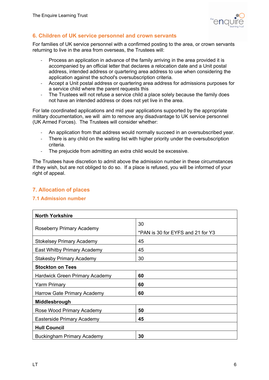

# **6. Children of UK service personnel and crown servants**

For families of UK service personnel with a confirmed posting to the area, or crown servants returning to live in the area from overseas, the Trustees will:

- Process an application in advance of the family arriving in the area provided it is accompanied by an official letter that declares a relocation date and a Unit postal address, intended address or quartering area address to use when considering the application against the school's oversubscription criteria.
- Accept a Unit postal address or quartering area address for admissions purposes for a service child where the parent requests this
- The Trustees will not refuse a service child a place solely because the family does not have an intended address or does not yet live in the area.

For late coordinated applications and mid year applications supported by the appropriate military documentation, we will aim to remove any disadvantage to UK service personnel (UK Armed Forces). The Trustees will consider whether:

- An application from that address would normally succeed in an oversubscribed year.
- There is any child on the waiting list with higher priority under the oversubscription criteria.
- The prejucide from admitting an extra child would be excessive.

The Trustees have discretion to admit above the admission number in these circumstances if they wish, but are not obliged to do so. If a place is refused, you will be informed of your right of appeal.

## **7. Allocation of places**

#### **7.1 Admission number**

| <b>North Yorkshire</b>                |                                   |  |  |  |  |
|---------------------------------------|-----------------------------------|--|--|--|--|
|                                       | 30                                |  |  |  |  |
| Roseberry Primary Academy             | *PAN is 30 for EYFS and 21 for Y3 |  |  |  |  |
| <b>Stokelsey Primary Academy</b>      | 45                                |  |  |  |  |
| East Whitby Primary Academy           | 45                                |  |  |  |  |
| <b>Stakesby Primary Academy</b>       | 30                                |  |  |  |  |
| <b>Stockton on Tees</b>               |                                   |  |  |  |  |
| <b>Hardwick Green Primary Academy</b> | 60                                |  |  |  |  |
| <b>Yarm Primary</b>                   | 60                                |  |  |  |  |
| Harrow Gate Primary Academy           | 60                                |  |  |  |  |
| Middlesbrough                         |                                   |  |  |  |  |
| Rose Wood Primary Academy             | 50                                |  |  |  |  |
| Easterside Primary Academy            | 45                                |  |  |  |  |
| <b>Hull Council</b>                   |                                   |  |  |  |  |
| <b>Buckingham Primary Academy</b>     | 30                                |  |  |  |  |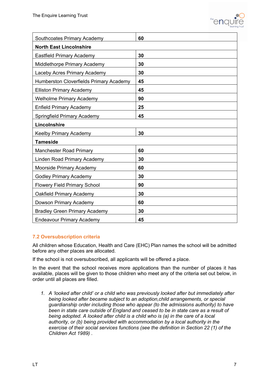

| Southcoates Primary Academy                    | 60 |  |  |  |  |
|------------------------------------------------|----|--|--|--|--|
| <b>North East Lincolnshire</b>                 |    |  |  |  |  |
| <b>Eastfield Primary Academy</b>               | 30 |  |  |  |  |
| Middlethorpe Primary Academy                   | 30 |  |  |  |  |
| Laceby Acres Primary Academy                   | 30 |  |  |  |  |
| <b>Humberston Cloverfields Primary Academy</b> | 45 |  |  |  |  |
| <b>Elliston Primary Academy</b>                | 45 |  |  |  |  |
| <b>Welholme Primary Academy</b>                | 90 |  |  |  |  |
| <b>Enfield Primary Academy</b>                 | 25 |  |  |  |  |
| Springfield Primary Academy                    | 45 |  |  |  |  |
| Lincolnshire                                   |    |  |  |  |  |
| <b>Keelby Primary Academy</b>                  | 30 |  |  |  |  |
| <b>Tameside</b>                                |    |  |  |  |  |
| <b>Manchester Road Primary</b>                 | 60 |  |  |  |  |
| Linden Road Primary Academy                    | 30 |  |  |  |  |
| Moorside Primary Academy                       | 60 |  |  |  |  |
| <b>Godley Primary Academy</b>                  | 30 |  |  |  |  |
| <b>Flowery Field Primary School</b>            | 90 |  |  |  |  |
| Oakfield Primary Academy                       | 30 |  |  |  |  |
| Dowson Primary Academy                         | 60 |  |  |  |  |
| <b>Bradley Green Primary Academy</b>           | 30 |  |  |  |  |
| <b>Endeavour Primary Academy</b>               | 45 |  |  |  |  |

#### **7.2 Oversubscription criteria**

All children whose Education, Health and Care (EHC) Plan names the school will be admitted before any other places are allocated.

If the school is not oversubscribed, all applicants will be offered a place.

In the event that the school receives more applications than the number of places it has available, places will be given to those children who meet any of the criteria set out below, in order until all places are filled.

*1. A 'looked after child' or a child who was previously looked after but immediately after being looked after became subject to an adoption,child arrangements, or special guardianship order including those who appear (to the admissions authority) to have been in state care outside of England and ceased to be in state care as a result of being adopted. A looked after child is a child who is (a) in the care of a local authority, or (b) being provided with accommodation by a local authority in the exercise of their social services functions (see the definition in Section 22 (1) of the Children Act 1989) .*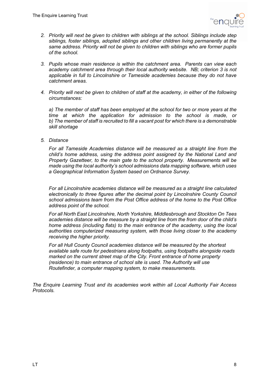

- *2. Priority will next be given to children with siblings at the school. Siblings include step siblings, foster siblings, adopted siblings and other children living permanently at the same address. Priority will not be given to children with siblings who are former pupils of the school.*
- *3. Pupils whose main residence is within the catchment area. Parents can view each academy catchment area through their local authority website. NB; criterion 3 is not applicable in full to Lincolnshire or Tameside academies because they do not have catchment areas.*
- *4. Priority will next be given to children of staff at the academy, in either of the following circumstances:*

*a) The member of staff has been employed at the school for two or more years at the time at which the application for admission to the school is made, or b) The member of staff is recruited to fill a vacant post for which there is a demonstrable skill shortage*

*5. Distance* 

*For all Tameside Academies distance will be measured as a straight line from the child's home address, using the address point assigned by the National Land and Property Gazetteer, to the main gate to the school property. Measurements will be made using the local authority's school admissions data mapping software, which uses a Geographical Information System based on Ordnance Survey.*

*For all Lincolnshire academies distance will be measured as a straight line calculated electronically to three figures after the decimal point by Lincolnshire County Council school admissions team from the Post Office address of the home to the Post Office address point of the school.* 

*For all North East Lincolnshire, North Yorkshire, Middlesbrough and Stockton On Tees academies distance will be measure by a straight line from the from door of the child's home address (including flats) to the main entrance of the academy, using the local authorities computerized measuring system, with those living closer to the academy receiving the higher priority.* 

*For all Hull County Council academies distance will be measured by the shortest available safe route for pedestrians along footpaths, using footpaths alongside roads marked on the current street map of the City. Front entrance of home property (residence) to main entrance of school site is used. The Authority will use Routefinder, a computer mapping system, to make measurements.*

*The Enquire Learning Trust and its academies work within all Local Authority Fair Access Protocols.*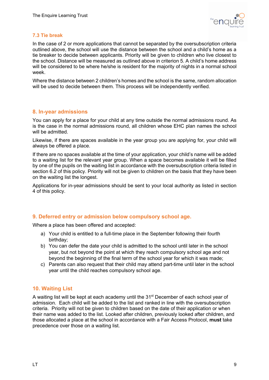

#### **7.3 Tie break**

In the case of 2 or more applications that cannot be separated by the oversubscription criteria outlined above, the school will use the distance between the school and a child's home as a tie breaker to decide between applicants. Priority will be given to children who live closest to the school. Distance will be measured as outlined above in criterion 5. A child's home address will be considered to be where he/she is resident for the majority of nights in a normal school week.

Where the distance between 2 children's homes and the school is the same, random allocation will be used to decide between them. This process will be independently verified.

#### **8. In-year admissions**

You can apply for a place for your child at any time outside the normal admissions round. As is the case in the normal admissions round, all children whose EHC plan names the school will be admitted.

Likewise, if there are spaces available in the year group you are applying for, your child will always be offered a place.

If there are no spaces available at the time of your application, your child's name will be added to a waiting list for the relevant year group. When a space becomes available it will be filled by one of the pupils on the waiting list in accordance with the oversubscription criteria listed in section 6.2 of this policy. Priority will not be given to children on the basis that they have been on the waiting list the longest.

Applications for in-year admissions should be sent to your local authority as listed in section 4 of this policy.

#### **9. Deferred entry or admission below compulsory school age.**

Where a place has been offered and accepted:

- a) Your child is entitled to a full-time place in the September following their fourth birthday;
- b) You can defer the date your child is admitted to the school until later in the school year, but not beyond the point at which they reach compulsory school age and not beyond the beginning of the final term of the school year for which it was made;
- c) Parents can also request that their child may attend part-time until later in the school year until the child reaches compulsory school age.

#### **10. Waiting List**

A waiting list will be kept at each academy until the 31<sup>st</sup> December of each school year of admission. Each child will be added to the list and ranked in line with the oversubscription criteria. Priority will not be given to children based on the date of their application or when their name was added to the list. Looked after children, previously looked after children, and those allocated a place at the school in accordance with a Fair Access Protocol, **must** take precedence over those on a waiting list.